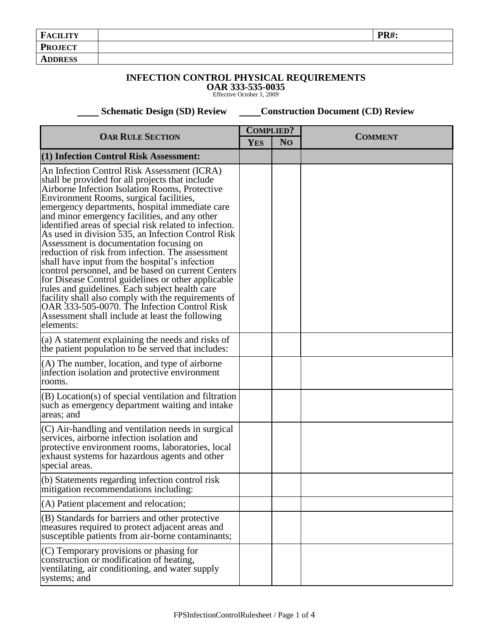| <b>FACILITY</b> | <b>PR#:</b> |
|-----------------|-------------|
| <b>PROJECT</b>  |             |
| <b>ADDRESS</b>  |             |

## **INFECTION CONTROL PHYSICAL REQUIREMENTS**

**OAR 333-535-0035**  Effective October 1, 2009

**Schematic Design (SD) Review Construction Document (CD) Review** 

| <b>OAR RULE SECTION</b>                                                                                                                                                                                                                                                                                                                                                                                                                                                                                                                                                                                                                                                                                                                                                                                                                                                                              |  | <b>COMPLIED?</b> |                |
|------------------------------------------------------------------------------------------------------------------------------------------------------------------------------------------------------------------------------------------------------------------------------------------------------------------------------------------------------------------------------------------------------------------------------------------------------------------------------------------------------------------------------------------------------------------------------------------------------------------------------------------------------------------------------------------------------------------------------------------------------------------------------------------------------------------------------------------------------------------------------------------------------|--|------------------|----------------|
|                                                                                                                                                                                                                                                                                                                                                                                                                                                                                                                                                                                                                                                                                                                                                                                                                                                                                                      |  | N <sub>O</sub>   | <b>COMMENT</b> |
| (1) Infection Control Risk Assessment:                                                                                                                                                                                                                                                                                                                                                                                                                                                                                                                                                                                                                                                                                                                                                                                                                                                               |  |                  |                |
| An Infection Control Risk Assessment (ICRA)<br>shall be provided for all projects that include<br>Airborne Infection Isolation Rooms, Protective<br>Environment Rooms, surgical facilities,<br>emergency departments, hospital immediate care<br>and minor emergency facilities, and any other<br>identified areas of special risk related to infection.<br>As used in division 535, an Infection Control Risk<br>Assessment is documentation focusing on<br>reduction of risk from infection. The assessment<br>shall have input from the hospital's infection<br>control personnel, and be based on current Centers<br>for Disease Control guidelines or other applicable<br>rules and guidelines. Each subject health care<br>facility shall also comply with the requirements of<br>OAR 333-505-0070. The Infection Control Risk<br>Assessment shall include at least the following<br>elements: |  |                  |                |
| (a) A statement explaining the needs and risks of<br>the patient population to be served that includes:                                                                                                                                                                                                                                                                                                                                                                                                                                                                                                                                                                                                                                                                                                                                                                                              |  |                  |                |
| (A) The number, location, and type of airborne<br>infection isolation and protective environment<br>rooms.                                                                                                                                                                                                                                                                                                                                                                                                                                                                                                                                                                                                                                                                                                                                                                                           |  |                  |                |
| (B) Location(s) of special ventilation and filtration<br>such as emergency department waiting and intake<br>areas; and                                                                                                                                                                                                                                                                                                                                                                                                                                                                                                                                                                                                                                                                                                                                                                               |  |                  |                |
| (C) Air-handling and ventilation needs in surgical<br>services, airborne infection isolation and<br>protective environment rooms, laboratories, local<br>exhaust systems for hazardous agents and other<br>special areas.                                                                                                                                                                                                                                                                                                                                                                                                                                                                                                                                                                                                                                                                            |  |                  |                |
| (b) Statements regarding infection control risk<br>mitigation recommendations including:                                                                                                                                                                                                                                                                                                                                                                                                                                                                                                                                                                                                                                                                                                                                                                                                             |  |                  |                |
| (A) Patient placement and relocation;                                                                                                                                                                                                                                                                                                                                                                                                                                                                                                                                                                                                                                                                                                                                                                                                                                                                |  |                  |                |
| (B) Standards for barriers and other protective<br>measures required to protect adjacent areas and<br>susceptible patients from air-borne contaminants;                                                                                                                                                                                                                                                                                                                                                                                                                                                                                                                                                                                                                                                                                                                                              |  |                  |                |
| (C) Temporary provisions or phasing for<br>construction or modification of heating,<br>ventilating, air conditioning, and water supply<br>systems; and                                                                                                                                                                                                                                                                                                                                                                                                                                                                                                                                                                                                                                                                                                                                               |  |                  |                |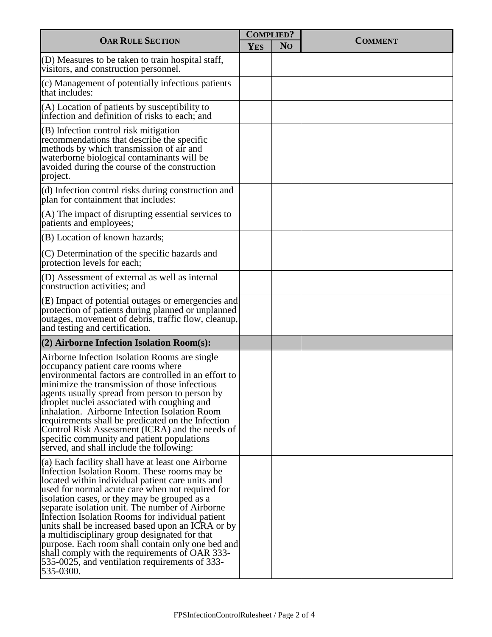| <b>OAR RULE SECTION</b>                                                                                                                                                                                                                                                                                                                                                                                                                                                                                                                                                                                                                       |  | <b>COMPLIED?</b> |                |
|-----------------------------------------------------------------------------------------------------------------------------------------------------------------------------------------------------------------------------------------------------------------------------------------------------------------------------------------------------------------------------------------------------------------------------------------------------------------------------------------------------------------------------------------------------------------------------------------------------------------------------------------------|--|------------------|----------------|
|                                                                                                                                                                                                                                                                                                                                                                                                                                                                                                                                                                                                                                               |  | N <sub>O</sub>   | <b>COMMENT</b> |
| (D) Measures to be taken to train hospital staff,<br>visitors, and construction personnel.                                                                                                                                                                                                                                                                                                                                                                                                                                                                                                                                                    |  |                  |                |
| (c) Management of potentially infectious patients<br>that includes:                                                                                                                                                                                                                                                                                                                                                                                                                                                                                                                                                                           |  |                  |                |
| (A) Location of patients by susceptibility to<br>infection and definition of risks to each; and                                                                                                                                                                                                                                                                                                                                                                                                                                                                                                                                               |  |                  |                |
| (B) Infection control risk mitigation<br>recommendations that describe the specific<br>methods by which transmission of air and<br>waterborne biological contaminants will be<br>avoided during the course of the construction<br>project.                                                                                                                                                                                                                                                                                                                                                                                                    |  |                  |                |
| (d) Infection control risks during construction and<br>plan for containment that includes:                                                                                                                                                                                                                                                                                                                                                                                                                                                                                                                                                    |  |                  |                |
| (A) The impact of disrupting essential services to<br>patients and employees;                                                                                                                                                                                                                                                                                                                                                                                                                                                                                                                                                                 |  |                  |                |
| (B) Location of known hazards;                                                                                                                                                                                                                                                                                                                                                                                                                                                                                                                                                                                                                |  |                  |                |
| (C) Determination of the specific hazards and<br>protection levels for each;                                                                                                                                                                                                                                                                                                                                                                                                                                                                                                                                                                  |  |                  |                |
| (D) Assessment of external as well as internal<br>construction activities; and                                                                                                                                                                                                                                                                                                                                                                                                                                                                                                                                                                |  |                  |                |
| (E) Impact of potential outages or emergencies and<br>protection of patients during planned or unplanned<br>outages, movement of debris, traffic flow, cleanup,<br>and testing and certification.                                                                                                                                                                                                                                                                                                                                                                                                                                             |  |                  |                |
| $(2)$ Airborne Infection Isolation Room $(s)$ :                                                                                                                                                                                                                                                                                                                                                                                                                                                                                                                                                                                               |  |                  |                |
| Airborne Infection Isolation Rooms are single<br>occupancy patient care rooms where<br>environmental factors are controlled in an effort to<br>minimize the transmission of those infectious<br>agents usually spread from person to person by<br>droplet nuclei associated with coughing and<br>inhalation. Airborne Infection Isolation Room<br>requirements shall be predicated on the Infection<br>Control Risk Assessment (ICRA) and the needs of<br>specific community and patient populations<br>served, and shall include the following:                                                                                              |  |                  |                |
| (a) Each facility shall have at least one Airborne<br>Infection Isolation Room. These rooms may be<br>located within individual patient care units and<br>used for normal acute care when not required for<br>isolation cases, or they may be grouped as a<br>separate isolation unit. The number of Airborne<br>Infection Isolation Rooms for individual patient<br>units shall be increased based upon an ICRA or by<br>a multidisciplinary group designated for that<br>purpose. Each room shall contain only one bed and<br>shall comply with the requirements of OAR 333-<br>535-0025, and ventilation requirements of 333-<br>535-0300. |  |                  |                |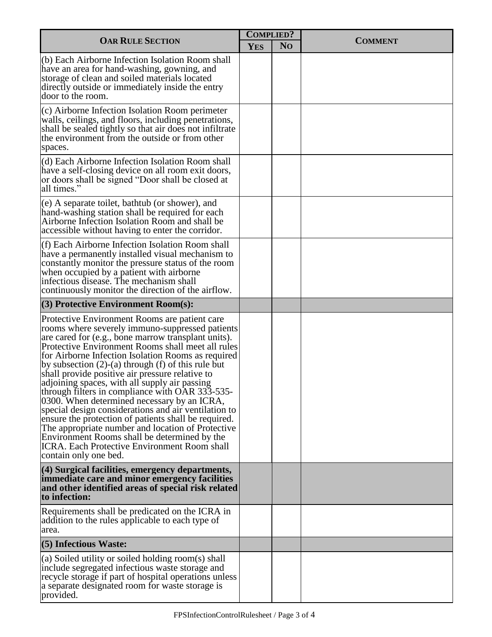| <b>OAR RULE SECTION</b>                                                                                                                                                                                                                                                                                                                                                                                                                                                                                                                                                                                                                                                                                                                                                                                                                 |  | <b>COMPLIED?</b> |                |
|-----------------------------------------------------------------------------------------------------------------------------------------------------------------------------------------------------------------------------------------------------------------------------------------------------------------------------------------------------------------------------------------------------------------------------------------------------------------------------------------------------------------------------------------------------------------------------------------------------------------------------------------------------------------------------------------------------------------------------------------------------------------------------------------------------------------------------------------|--|------------------|----------------|
|                                                                                                                                                                                                                                                                                                                                                                                                                                                                                                                                                                                                                                                                                                                                                                                                                                         |  | N <sub>O</sub>   | <b>COMMENT</b> |
| (b) Each Airborne Infection Isolation Room shall<br>have an area for hand-washing, gowning, and<br>storage of clean and soiled materials located<br>directly outside or immediately inside the entry<br>door to the room.                                                                                                                                                                                                                                                                                                                                                                                                                                                                                                                                                                                                               |  |                  |                |
| (c) Airborne Infection Isolation Room perimeter<br>walls, ceilings, and floors, including penetrations,<br>shall be sealed tightly so that air does not infiltrate<br>the environment from the outside or from other<br>spaces.                                                                                                                                                                                                                                                                                                                                                                                                                                                                                                                                                                                                         |  |                  |                |
| (d) Each Airborne Infection Isolation Room shall<br>have a self-closing device on all room exit doors,<br>or doors shall be signed "Door shall be closed at<br>all times."                                                                                                                                                                                                                                                                                                                                                                                                                                                                                                                                                                                                                                                              |  |                  |                |
| (e) A separate toilet, bathtub (or shower), and<br>hand-washing station shall be required for each<br>Airborne Infection Isolation Room and shall be<br>accessible without having to enter the corridor.                                                                                                                                                                                                                                                                                                                                                                                                                                                                                                                                                                                                                                |  |                  |                |
| (f) Each Airborne Infection Isolation Room shall<br>have a permanently installed visual mechanism to<br>constantly monitor the pressure status of the room<br>when occupied by a patient with airborne<br>infectious disease. The mechanism shall<br>continuously monitor the direction of the airflow.                                                                                                                                                                                                                                                                                                                                                                                                                                                                                                                                 |  |                  |                |
| $(3)$ Protective Environment Room $(s)$ :                                                                                                                                                                                                                                                                                                                                                                                                                                                                                                                                                                                                                                                                                                                                                                                               |  |                  |                |
| Protective Environment Rooms are patient care<br>rooms where severely immuno-suppressed patients<br>are cared for (e.g., bone marrow transplant units).<br>Protective Environment Rooms shall meet all rules<br>for Airborne Infection Isolation Rooms as required<br>by subsection $(2)-(a)$ through $(f)$ of this rule but<br>shall provide positive air pressure relative to<br>adjoining spaces, with all supply air passing<br>through filters in compliance with OAR 333-535-<br>0300. When determined necessary by an ICRA,<br>special design considerations and air ventilation to<br>ensure the protection of patients shall be required.<br>The appropriate number and location of Protective<br>Environment Rooms shall be determined by the<br><b>ICRA.</b> Each Protective Environment Room shall<br>contain only one bed. |  |                  |                |
| $(4)$ Surgical facilities, emergency departments,<br>immediate care and minor emergency facilities<br>and other identified areas of special risk related<br>to infection:                                                                                                                                                                                                                                                                                                                                                                                                                                                                                                                                                                                                                                                               |  |                  |                |
| Requirements shall be predicated on the ICRA in<br>addition to the rules applicable to each type of<br>area.                                                                                                                                                                                                                                                                                                                                                                                                                                                                                                                                                                                                                                                                                                                            |  |                  |                |
| $(5)$ Infectious Waste:                                                                                                                                                                                                                                                                                                                                                                                                                                                                                                                                                                                                                                                                                                                                                                                                                 |  |                  |                |
| (a) Soiled utility or soiled holding room(s) shall<br>include segregated infectious waste storage and<br>recycle storage if part of hospital operations unless<br>a separate designated room for waste storage is<br>provided.                                                                                                                                                                                                                                                                                                                                                                                                                                                                                                                                                                                                          |  |                  |                |